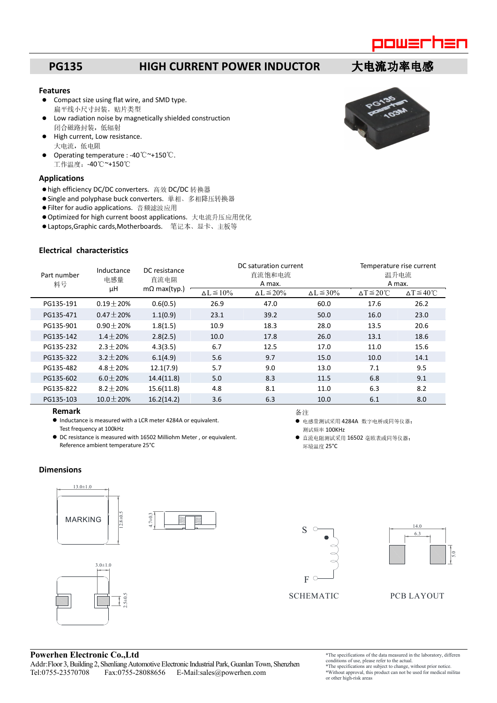

### **PG135 HIGH CURRENT POWER INDUCTOR 大电流功率电感**

#### **Features**

- Compact size using flat wire, and SMD type. 扁平线小尺寸封装,贴片类型
- Low radiation noise by magnetically shielded construction 闭合磁路封装,低辐射
- High current, Low resistance. 大电流,低电阻
- Operating temperature : -40℃~+150℃. 工作温度:-40℃~+150℃

### **Applications**

- high efficiency DC/DC converters. 高效 DC/DC 转换器
- Single and polyphase buck converters. 单相、多相降压转换器
- Filter for audio applications. 音频滤波应用
- Optimized for high current boost applications. 大电流升压应用优化
- Laptops,Graphic cards,Motherboards. 笔记本、显卡、主板等

#### **Electrical characteristics**

| Part number<br>料号 | Inductance<br>电感量<br>μH | DC resistance<br>直流电阻<br>$m\Omega$ max(typ.) | DC saturation current<br>直流饱和电流<br>A max. |                      |                      | Temperature rise current<br>温升电流<br>A max. |                              |
|-------------------|-------------------------|----------------------------------------------|-------------------------------------------|----------------------|----------------------|--------------------------------------------|------------------------------|
|                   |                         |                                              | $\Delta L \le 10\%$                       | $\Delta L \leq 20\%$ | $\Delta L \leq 30\%$ | $\Delta T \leq 20^{\circ}$ C               | $\Delta T \leq 40^{\circ}$ C |
| PG135-191         | $0.19 \pm 20%$          | 0.6(0.5)                                     | 26.9                                      | 47.0                 | 60.0                 | 17.6                                       | 26.2                         |
| PG135-471         | $0.47 \pm 20%$          | 1.1(0.9)                                     | 23.1                                      | 39.2                 | 50.0                 | 16.0                                       | 23.0                         |
| PG135-901         | $0.90 \pm 20%$          | 1.8(1.5)                                     | 10.9                                      | 18.3                 | 28.0                 | 13.5                                       | 20.6                         |
| PG135-142         | $1.4 + 20%$             | 2.8(2.5)                                     | 10.0                                      | 17.8                 | 26.0                 | 13.1                                       | 18.6                         |
| PG135-232         | $2.3 \pm 20\%$          | 4.3(3.5)                                     | 6.7                                       | 12.5                 | 17.0                 | 11.0                                       | 15.6                         |
| PG135-322         | $3.2 \pm 20%$           | 6.1(4.9)                                     | 5.6                                       | 9.7                  | 15.0                 | 10.0                                       | 14.1                         |
| PG135-482         | $4.8 \pm 20%$           | 12.1(7.9)                                    | 5.7                                       | 9.0                  | 13.0                 | 7.1                                        | 9.5                          |
| PG135-602         | $6.0 \pm 20%$           | 14.4(11.8)                                   | 5.0                                       | 8.3                  | 11.5                 | 6.8                                        | 9.1                          |
| PG135-822         | $8.2 + 20%$             | 15.6(11.8)                                   | 4.8                                       | 8.1                  | 11.0                 | 6.3                                        | 8.2                          |
| PG135-103         | $10.0 \pm 20%$          | 16.2(14.2)                                   | 3.6                                       | 6.3                  | 10.0                 | 6.1                                        | 8.0                          |

备注

测试频率 100KHz

环境温度 25°C

● 电感量测试采用 4284A 数字电桥或同等仪器;

直流电阻测试采用 16502 毫欧表或同等仪器;

#### **Remark**

- Inductance is measured with a LCR meter 4284A or equivalent. Test frequency at 100kHz
- DC resistance is measured with 16502 Milliohm Meter , or equivalent. Reference ambient temperature 25°C

### **Dimensions**





### SCHEMATIC PCB LAYOUT

# **Powerhen Electronic Co.,Ltd**

- Addr:Floor 3, Building 2, Shenliang Automotive Electronic Industrial Park, Guanlan Town, Shenzhen<br>
Tel:0755-23570708 Fax:0755-28088656 E-Mail:sales@powerhen.com Fax:0755-28088656 E-Mail:sales@powerhen.com
- \*The specifications of the data measured in the laboratory, different conditions of use, please refer to the actual.
- \*The specifications are subject to change, without prior notice. \*Without approval, this product can not be used for medical military or other high-risk areas

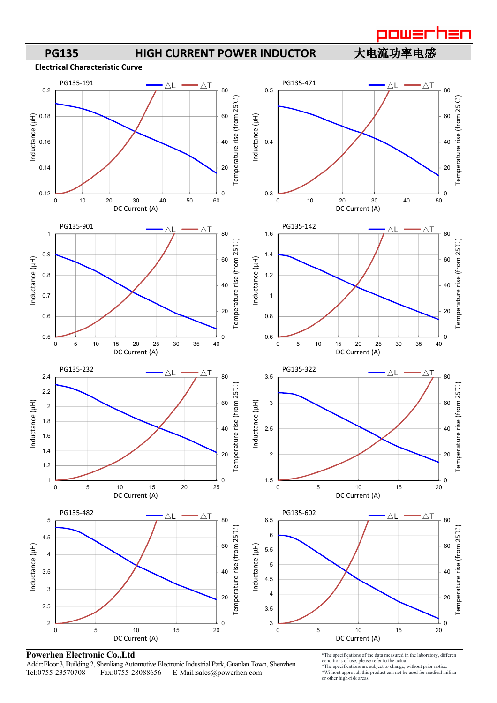



### **Powerhen Electronic Co.,Ltd**

Addr:Floor 3, Building 2, Shenliang Automotive Electronic Industrial Park, Guanlan Town, Shenzhen<br>Tel:0755-23570708 Fax:0755-28088656 E-Mail:sales@powerhen.com E-Mail:sales@powerhen.com

\*The specifications of the data measured in the laboratory, different conditions of use, please refer to the actual.

\*The specifications are subject to change, without prior notice. \*Without approval, this product can not be used for medical military

or other high-risk areas